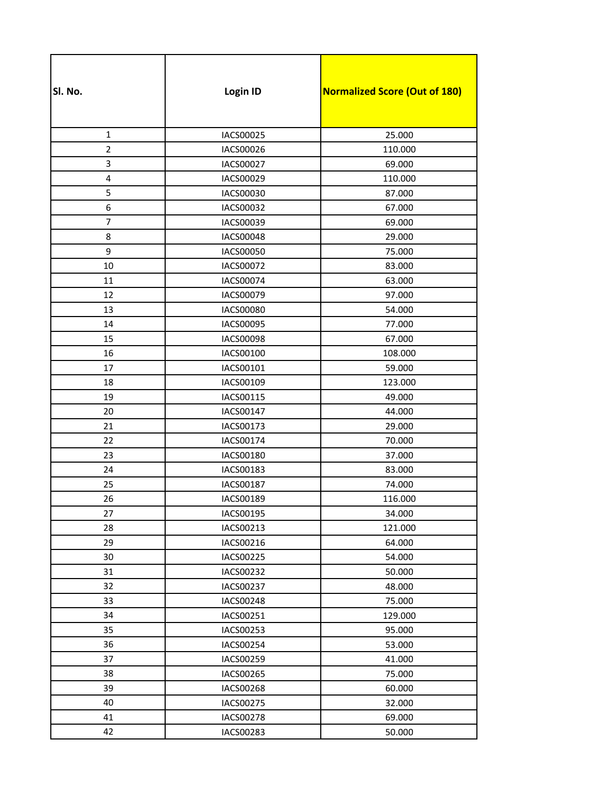| SI. No.        | Login ID         | <b>Normalized Score (Out of 180)</b> |
|----------------|------------------|--------------------------------------|
|                |                  |                                      |
| $\mathbf{1}$   | IACS00025        | 25.000                               |
| $\overline{2}$ | IACS00026        | 110.000                              |
| 3              | IACS00027        | 69.000                               |
| 4              | IACS00029        | 110.000                              |
| 5              | <b>IACS00030</b> | 87.000                               |
| 6              | IACS00032        | 67.000                               |
| $\overline{7}$ | IACS00039        | 69.000                               |
| 8              | IACS00048        | 29.000                               |
| 9              | IACS00050        | 75.000                               |
| 10             | <b>IACS00072</b> | 83.000                               |
| 11             | <b>IACS00074</b> | 63.000                               |
| 12             | IACS00079        | 97.000                               |
| 13             | <b>IACS00080</b> | 54.000                               |
| 14             | IACS00095        | 77.000                               |
| 15             | <b>IACS00098</b> | 67.000                               |
| 16             | IACS00100        | 108.000                              |
| 17             | IACS00101        | 59.000                               |
| 18             | IACS00109        | 123.000                              |
| 19             | IACS00115        | 49.000                               |
| 20             | IACS00147        | 44.000                               |
| 21             | IACS00173        | 29.000                               |
| 22             | IACS00174        | 70.000                               |
| 23             | IACS00180        | 37.000                               |
| 24             | IACS00183        | 83.000                               |
| 25             | <b>IACS00187</b> | 74.000                               |
| 26             | IACS00189        | 116.000                              |
| 27             | IACS00195        | 34.000                               |
| 28             | IACS00213        | 121.000                              |
| 29             | IACS00216        | 64.000                               |
| 30             | IACS00225        | 54.000                               |
| 31             | IACS00232        | 50.000                               |
| 32             | <b>IACS00237</b> | 48.000                               |
| 33             | IACS00248        | 75.000                               |
| 34             | IACS00251        | 129.000                              |
| 35             | IACS00253        | 95.000                               |
| 36             | IACS00254        | 53.000                               |
| 37             | IACS00259        | 41.000                               |
| 38             | IACS00265        | 75.000                               |
| 39             | IACS00268        | 60.000                               |
| 40             | IACS00275        | 32.000                               |
| 41             | IACS00278        | 69.000                               |
| 42             | IACS00283        | 50.000                               |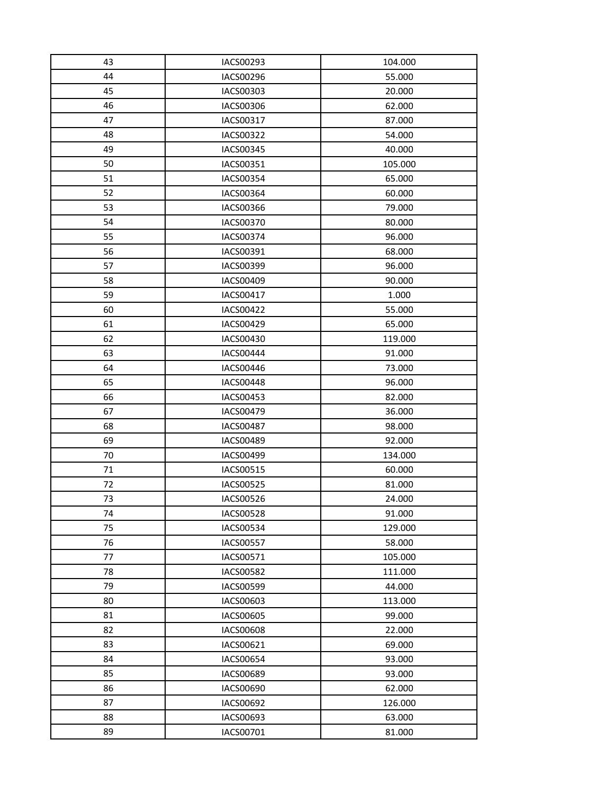| 43 | IACS00293        | 104.000 |
|----|------------------|---------|
| 44 | IACS00296        | 55.000  |
| 45 | IACS00303        | 20.000  |
| 46 | IACS00306        | 62.000  |
| 47 | IACS00317        | 87.000  |
| 48 | IACS00322        | 54.000  |
| 49 | IACS00345        | 40.000  |
| 50 | IACS00351        | 105.000 |
| 51 | IACS00354        | 65.000  |
| 52 | IACS00364        | 60.000  |
| 53 | IACS00366        | 79.000  |
| 54 | IACS00370        | 80.000  |
| 55 | IACS00374        | 96.000  |
| 56 | IACS00391        | 68.000  |
| 57 | IACS00399        | 96.000  |
| 58 | IACS00409        | 90.000  |
| 59 | IACS00417        | 1.000   |
| 60 | IACS00422        | 55.000  |
| 61 | IACS00429        | 65.000  |
| 62 | IACS00430        | 119.000 |
| 63 | IACS00444        | 91.000  |
| 64 | IACS00446        | 73.000  |
| 65 | <b>IACS00448</b> | 96.000  |
| 66 | IACS00453        | 82.000  |
| 67 | IACS00479        | 36.000  |
| 68 | IACS00487        | 98.000  |
| 69 | <b>IACS00489</b> | 92.000  |
| 70 | IACS00499        | 134.000 |
| 71 | IACS00515        | 60.000  |
| 72 | IACS00525        | 81.000  |
| 73 | IACS00526        | 24.000  |
| 74 | <b>IACS00528</b> | 91.000  |
| 75 | IACS00534        | 129.000 |
| 76 | <b>IACS00557</b> | 58.000  |
| 77 | IACS00571        | 105.000 |
| 78 | <b>IACS00582</b> | 111.000 |
| 79 | IACS00599        | 44.000  |
| 80 | IACS00603        | 113.000 |
| 81 | IACS00605        | 99.000  |
| 82 | <b>IACS00608</b> | 22.000  |
| 83 | IACS00621        | 69.000  |
| 84 | IACS00654        | 93.000  |
| 85 | IACS00689        | 93.000  |
| 86 | IACS00690        | 62.000  |
| 87 | IACS00692        | 126.000 |
| 88 | IACS00693        | 63.000  |
| 89 | IACS00701        | 81.000  |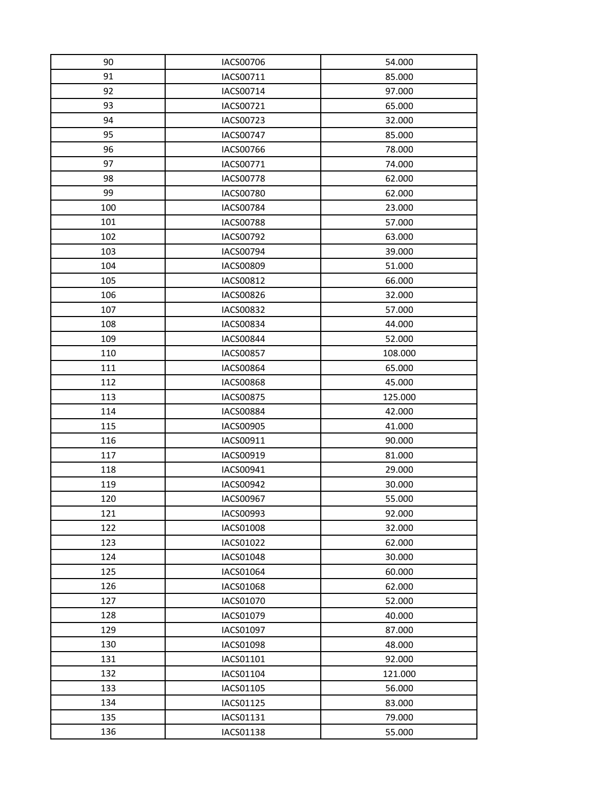| 90  | <b>IACS00706</b> | 54.000  |
|-----|------------------|---------|
| 91  | IACS00711        | 85.000  |
| 92  | IACS00714        | 97.000  |
| 93  | IACS00721        | 65.000  |
| 94  | IACS00723        | 32.000  |
| 95  | <b>IACS00747</b> | 85.000  |
| 96  | IACS00766        | 78.000  |
| 97  | IACS00771        | 74.000  |
| 98  | <b>IACS00778</b> | 62.000  |
| 99  | <b>IACS00780</b> | 62.000  |
| 100 | IACS00784        | 23.000  |
| 101 | <b>IACS00788</b> | 57.000  |
| 102 | IACS00792        | 63.000  |
| 103 | IACS00794        | 39.000  |
| 104 | <b>IACS00809</b> | 51.000  |
| 105 | IACS00812        | 66.000  |
| 106 | <b>IACS00826</b> | 32.000  |
| 107 | IACS00832        | 57.000  |
| 108 | <b>IACS00834</b> | 44.000  |
| 109 | <b>IACS00844</b> | 52.000  |
| 110 | IACS00857        | 108.000 |
| 111 | IACS00864        | 65.000  |
| 112 | IACS00868        | 45.000  |
| 113 | <b>IACS00875</b> | 125.000 |
| 114 | <b>IACS00884</b> | 42.000  |
| 115 | IACS00905        | 41.000  |
| 116 | IACS00911        | 90.000  |
| 117 | IACS00919        | 81.000  |
| 118 | IACS00941        | 29.000  |
| 119 | IACS00942        | 30.000  |
| 120 | IACS00967        | 55.000  |
| 121 | IACS00993        | 92.000  |
| 122 | IACS01008        | 32.000  |
| 123 | IACS01022        | 62.000  |
| 124 | IACS01048        | 30.000  |
| 125 | IACS01064        | 60.000  |
| 126 | IACS01068        | 62.000  |
| 127 | IACS01070        | 52.000  |
| 128 | IACS01079        | 40.000  |
| 129 | IACS01097        | 87.000  |
| 130 | <b>IACS01098</b> | 48.000  |
| 131 | IACS01101        | 92.000  |
| 132 | IACS01104        | 121.000 |
| 133 | IACS01105        | 56.000  |
| 134 | IACS01125        | 83.000  |
| 135 | IACS01131        | 79.000  |
| 136 | IACS01138        | 55.000  |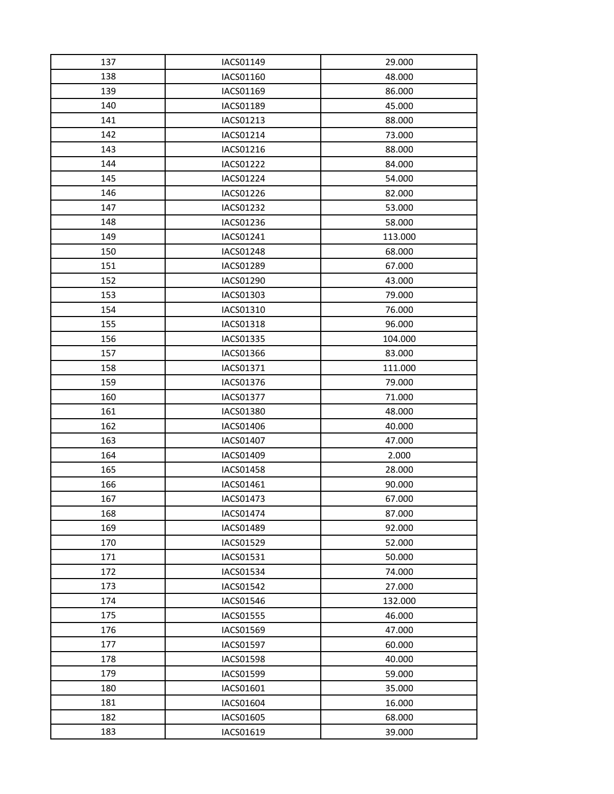| 137        | IACS01149              | 29.000           |
|------------|------------------------|------------------|
| 138        | IACS01160              | 48.000           |
| 139        | IACS01169              | 86.000           |
| 140        | IACS01189              | 45.000           |
| 141        | IACS01213              | 88.000           |
| 142        | IACS01214              | 73.000           |
| 143        | IACS01216              | 88.000           |
| 144        | IACS01222              | 84.000           |
| 145        | IACS01224              | 54.000           |
| 146        | IACS01226              | 82.000           |
| 147        | IACS01232              | 53.000           |
| 148        | IACS01236              | 58.000           |
| 149        | IACS01241              | 113.000          |
| 150        | IACS01248              | 68.000           |
| 151        | IACS01289              | 67.000           |
| 152        | IACS01290              | 43.000           |
| 153        | IACS01303              | 79.000           |
| 154        | IACS01310              | 76.000           |
| 155        | IACS01318              | 96.000           |
| 156        | <b>IACS01335</b>       | 104.000          |
| 157        | IACS01366              | 83.000           |
| 158        | IACS01371              | 111.000          |
| 159        | IACS01376              | 79.000           |
| 160        | <b>IACS01377</b>       | 71.000           |
| 161        | <b>IACS01380</b>       | 48.000           |
| 162        | IACS01406              | 40.000           |
| 163        | <b>IACS01407</b>       | 47.000           |
| 164        | IACS01409              | 2.000            |
| 165        | <b>IACS01458</b>       | 28.000           |
| 166        | IACS01461              | 90.000           |
| 167        | IACS01473              | 67.000           |
| 168        | IACS01474              | 87.000           |
| 169        | <b>IACS01489</b>       | 92.000           |
| 170<br>171 | IACS01529<br>IACS01531 | 52.000<br>50.000 |
| 172        | <b>IACS01534</b>       | 74.000           |
| 173        | IACS01542              | 27.000           |
| 174        | IACS01546              | 132.000          |
| 175        | <b>IACS01555</b>       | 46.000           |
| 176        | IACS01569              | 47.000           |
| 177        | <b>IACS01597</b>       | 60.000           |
| 178        | IACS01598              | 40.000           |
| 179        | <b>IACS01599</b>       | 59.000           |
| 180        | IACS01601              | 35.000           |
| 181        | IACS01604              | 16.000           |
| 182        | IACS01605              | 68.000           |
| 183        | IACS01619              | 39.000           |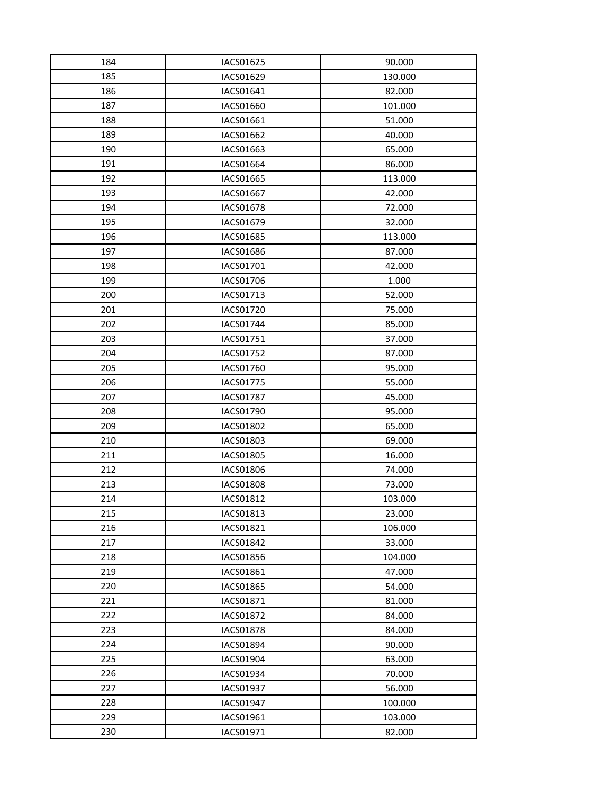| 184 | IACS01625        | 90.000  |
|-----|------------------|---------|
| 185 | IACS01629        | 130.000 |
| 186 | IACS01641        | 82.000  |
| 187 | IACS01660        | 101.000 |
| 188 | IACS01661        | 51.000  |
| 189 | IACS01662        | 40.000  |
| 190 | IACS01663        | 65.000  |
| 191 | IACS01664        | 86.000  |
| 192 | IACS01665        | 113.000 |
| 193 | IACS01667        | 42.000  |
| 194 | IACS01678        | 72.000  |
| 195 | IACS01679        | 32.000  |
| 196 | IACS01685        | 113.000 |
| 197 | IACS01686        | 87.000  |
| 198 | IACS01701        | 42.000  |
| 199 | IACS01706        | 1.000   |
| 200 | IACS01713        | 52.000  |
| 201 | IACS01720        | 75.000  |
| 202 | IACS01744        | 85.000  |
| 203 | IACS01751        | 37.000  |
| 204 | IACS01752        | 87.000  |
| 205 | <b>IACS01760</b> | 95.000  |
| 206 | IACS01775        | 55.000  |
| 207 | <b>IACS01787</b> | 45.000  |
| 208 | IACS01790        | 95.000  |
| 209 | <b>IACS01802</b> | 65.000  |
| 210 | IACS01803        | 69.000  |
| 211 | IACS01805        | 16.000  |
| 212 | IACS01806        | 74.000  |
| 213 | <b>IACS01808</b> | 73.000  |
| 214 | IACS01812        | 103.000 |
| 215 | IACS01813        | 23.000  |
| 216 | IACS01821        | 106.000 |
| 217 | <b>IACS01842</b> | 33.000  |
| 218 | IACS01856        | 104.000 |
| 219 | IACS01861        | 47.000  |
| 220 | IACS01865        | 54.000  |
| 221 | IACS01871        | 81.000  |
| 222 | <b>IACS01872</b> | 84.000  |
| 223 | <b>IACS01878</b> | 84.000  |
| 224 | IACS01894        | 90.000  |
| 225 | IACS01904        | 63.000  |
| 226 | <b>IACS01934</b> | 70.000  |
| 227 | IACS01937        | 56.000  |
| 228 | IACS01947        | 100.000 |
| 229 | IACS01961        | 103.000 |
| 230 | IACS01971        | 82.000  |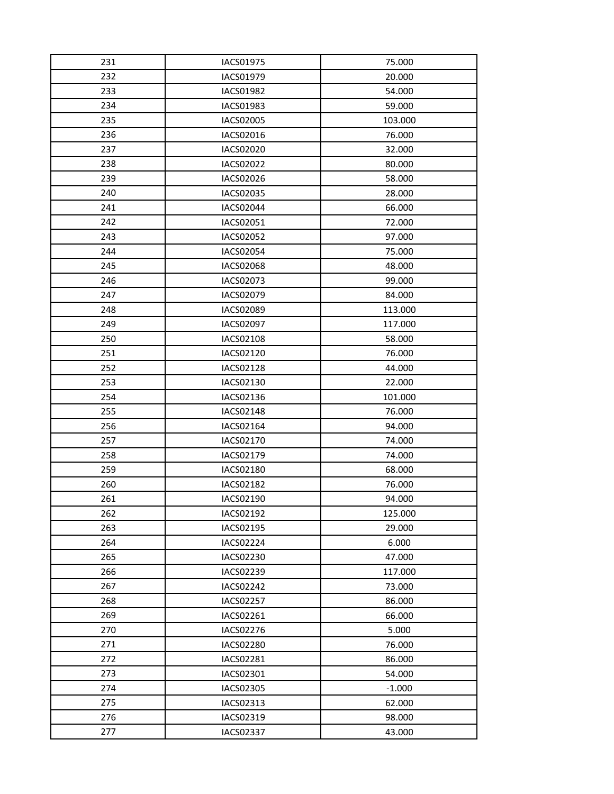| 231 | <b>IACS01975</b> | 75.000   |
|-----|------------------|----------|
| 232 | IACS01979        | 20.000   |
| 233 | <b>IACS01982</b> | 54.000   |
| 234 | IACS01983        | 59.000   |
| 235 | IACS02005        | 103.000  |
| 236 | IACS02016        | 76.000   |
| 237 | IACS02020        | 32.000   |
| 238 | IACS02022        | 80.000   |
| 239 | IACS02026        | 58.000   |
| 240 | IACS02035        | 28.000   |
| 241 | IACS02044        | 66.000   |
| 242 | IACS02051        | 72.000   |
| 243 | IACS02052        | 97.000   |
| 244 | <b>IACS02054</b> | 75.000   |
| 245 | <b>IACS02068</b> | 48.000   |
| 246 | IACS02073        | 99.000   |
| 247 | IACS02079        | 84.000   |
| 248 | IACS02089        | 113.000  |
| 249 | <b>IACS02097</b> | 117.000  |
| 250 | IACS02108        | 58.000   |
| 251 | IACS02120        | 76.000   |
| 252 | <b>IACS02128</b> | 44.000   |
| 253 | IACS02130        | 22.000   |
| 254 | IACS02136        | 101.000  |
| 255 | <b>IACS02148</b> | 76.000   |
| 256 | IACS02164        | 94.000   |
| 257 | IACS02170        | 74.000   |
| 258 | IACS02179        | 74.000   |
| 259 | IACS02180        | 68.000   |
| 260 | IACS02182        | 76.000   |
| 261 | IACS02190        | 94.000   |
| 262 | IACS02192        | 125.000  |
| 263 | IACS02195        | 29.000   |
| 264 | IACS02224        | 6.000    |
| 265 | IACS02230        | 47.000   |
| 266 | IACS02239        | 117.000  |
| 267 | IACS02242        | 73.000   |
| 268 | IACS02257        | 86.000   |
| 269 | IACS02261        | 66.000   |
| 270 | IACS02276        | 5.000    |
| 271 | IACS02280        | 76.000   |
| 272 | IACS02281        | 86.000   |
| 273 | IACS02301        | 54.000   |
| 274 | IACS02305        | $-1.000$ |
| 275 | IACS02313        | 62.000   |
| 276 | IACS02319        | 98.000   |
| 277 | IACS02337        | 43.000   |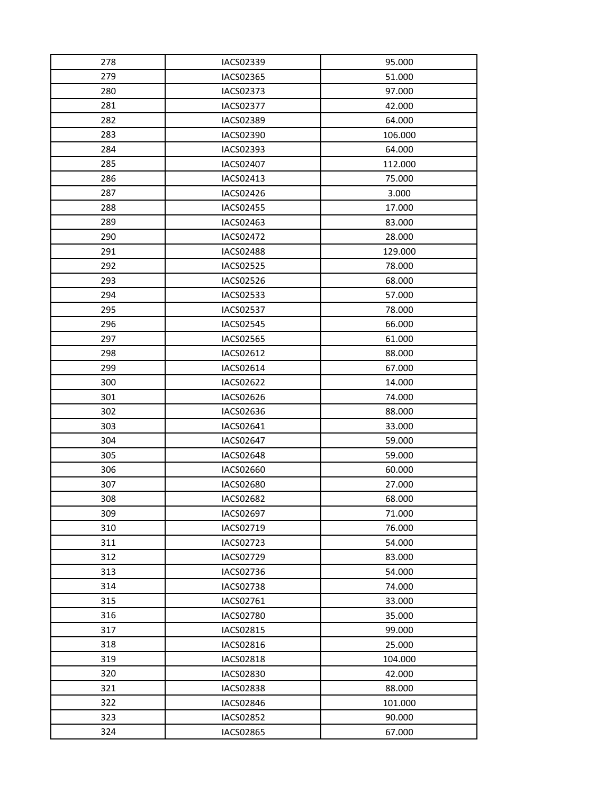| 278 | IACS02339        | 95.000  |
|-----|------------------|---------|
| 279 | IACS02365        | 51.000  |
| 280 | <b>IACS02373</b> | 97.000  |
| 281 | IACS02377        | 42.000  |
| 282 | <b>IACS02389</b> | 64.000  |
| 283 | IACS02390        | 106.000 |
| 284 | IACS02393        | 64.000  |
| 285 | IACS02407        | 112.000 |
| 286 | IACS02413        | 75.000  |
| 287 | IACS02426        | 3.000   |
| 288 | IACS02455        | 17.000  |
| 289 | IACS02463        | 83.000  |
| 290 | <b>IACS02472</b> | 28.000  |
| 291 | <b>IACS02488</b> | 129.000 |
| 292 | <b>IACS02525</b> | 78.000  |
| 293 | IACS02526        | 68.000  |
| 294 | <b>IACS02533</b> | 57.000  |
| 295 | IACS02537        | 78.000  |
| 296 | <b>IACS02545</b> | 66.000  |
| 297 | <b>IACS02565</b> | 61.000  |
| 298 | IACS02612        | 88.000  |
| 299 | IACS02614        | 67.000  |
| 300 | IACS02622        | 14.000  |
| 301 | IACS02626        | 74.000  |
| 302 | IACS02636        | 88.000  |
| 303 | IACS02641        | 33.000  |
| 304 | <b>IACS02647</b> | 59.000  |
| 305 | <b>IACS02648</b> | 59.000  |
| 306 | IACS02660        | 60.000  |
| 307 | <b>IACS02680</b> | 27.000  |
| 308 | <b>IACS02682</b> | 68.000  |
| 309 | IACS02697        | 71.000  |
| 310 | IACS02719        | 76.000  |
| 311 | IACS02723        | 54.000  |
| 312 | IACS02729        | 83.000  |
| 313 | IACS02736        | 54.000  |
| 314 | <b>IACS02738</b> | 74.000  |
| 315 | IACS02761        | 33.000  |
| 316 | <b>IACS02780</b> | 35.000  |
| 317 | IACS02815        | 99.000  |
| 318 | IACS02816        | 25.000  |
| 319 | IACS02818        | 104.000 |
| 320 | <b>IACS02830</b> | 42.000  |
| 321 | IACS02838        | 88.000  |
| 322 | <b>IACS02846</b> | 101.000 |
| 323 | <b>IACS02852</b> | 90.000  |
| 324 | IACS02865        | 67.000  |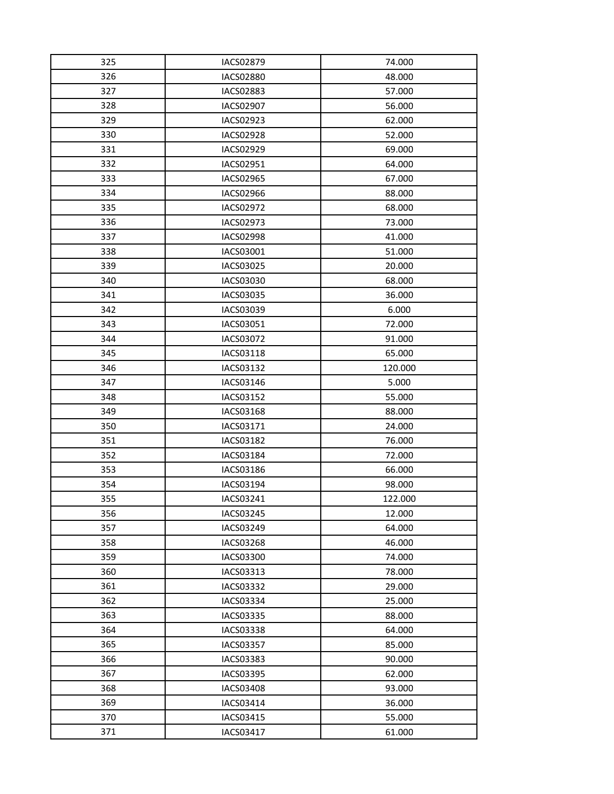| 325 | <b>IACS02879</b> | 74.000  |
|-----|------------------|---------|
| 326 | <b>IACS02880</b> | 48.000  |
| 327 | <b>IACS02883</b> | 57.000  |
| 328 | IACS02907        | 56.000  |
| 329 | IACS02923        | 62.000  |
| 330 | <b>IACS02928</b> | 52.000  |
| 331 | IACS02929        | 69.000  |
| 332 | IACS02951        | 64.000  |
| 333 | IACS02965        | 67.000  |
| 334 | IACS02966        | 88.000  |
| 335 | IACS02972        | 68.000  |
| 336 | <b>IACS02973</b> | 73.000  |
| 337 | <b>IACS02998</b> | 41.000  |
| 338 | IACS03001        | 51.000  |
| 339 | IACS03025        | 20.000  |
| 340 | IACS03030        | 68.000  |
| 341 | IACS03035        | 36.000  |
| 342 | IACS03039        | 6.000   |
| 343 | IACS03051        | 72.000  |
| 344 | IACS03072        | 91.000  |
| 345 | IACS03118        | 65.000  |
| 346 | IACS03132        | 120.000 |
| 347 | IACS03146        | 5.000   |
| 348 | IACS03152        | 55.000  |
| 349 | <b>IACS03168</b> | 88.000  |
| 350 | IACS03171        | 24.000  |
| 351 | IACS03182        | 76.000  |
| 352 | IACS03184        | 72.000  |
| 353 | IACS03186        | 66.000  |
| 354 | IACS03194        | 98.000  |
| 355 | IACS03241        | 122.000 |
| 356 | IACS03245        | 12.000  |
| 357 | IACS03249        | 64.000  |
| 358 | <b>IACS03268</b> | 46.000  |
| 359 | IACS03300        | 74.000  |
| 360 | IACS03313        | 78.000  |
| 361 | IACS03332        | 29.000  |
| 362 | IACS03334        | 25.000  |
| 363 | IACS03335        | 88.000  |
| 364 | IACS03338        | 64.000  |
| 365 | <b>IACS03357</b> | 85.000  |
| 366 | IACS03383        | 90.000  |
| 367 | IACS03395        | 62.000  |
| 368 | IACS03408        | 93.000  |
| 369 | IACS03414        | 36.000  |
| 370 | IACS03415        | 55.000  |
| 371 | IACS03417        | 61.000  |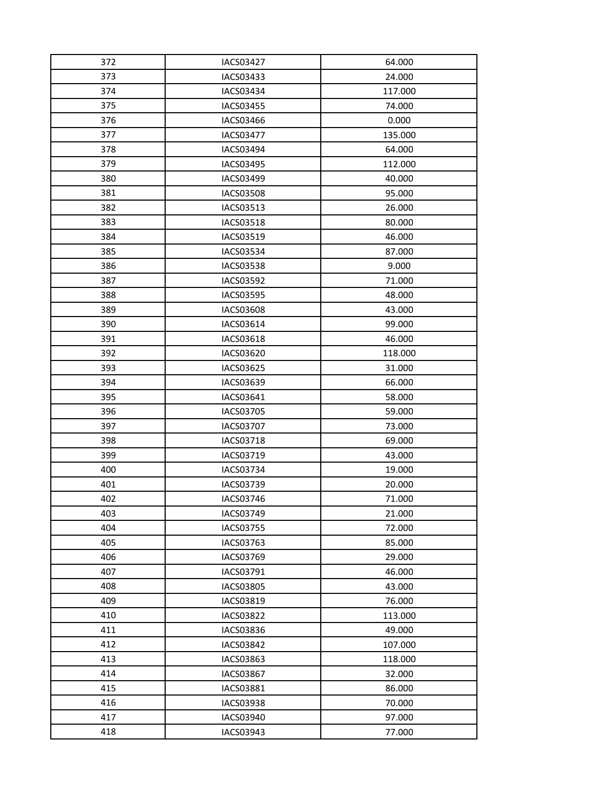| 372 | <b>IACS03427</b> | 64.000  |
|-----|------------------|---------|
| 373 | IACS03433        | 24.000  |
| 374 | IACS03434        | 117.000 |
| 375 | IACS03455        | 74.000  |
| 376 | IACS03466        | 0.000   |
| 377 | <b>IACS03477</b> | 135.000 |
| 378 | IACS03494        | 64.000  |
| 379 | IACS03495        | 112.000 |
| 380 | IACS03499        | 40.000  |
| 381 | <b>IACS03508</b> | 95.000  |
| 382 | IACS03513        | 26.000  |
| 383 | <b>IACS03518</b> | 80.000  |
| 384 | IACS03519        | 46.000  |
| 385 | <b>IACS03534</b> | 87.000  |
| 386 | <b>IACS03538</b> | 9.000   |
| 387 | IACS03592        | 71.000  |
| 388 | <b>IACS03595</b> | 48.000  |
| 389 | IACS03608        | 43.000  |
| 390 | IACS03614        | 99.000  |
| 391 | <b>IACS03618</b> | 46.000  |
| 392 | IACS03620        | 118.000 |
| 393 | IACS03625        | 31.000  |
| 394 | IACS03639        | 66.000  |
| 395 | IACS03641        | 58.000  |
| 396 | IACS03705        | 59.000  |
| 397 | <b>IACS03707</b> | 73.000  |
| 398 | IACS03718        | 69.000  |
| 399 | IACS03719        | 43.000  |
| 400 | <b>IACS03734</b> | 19.000  |
| 401 | IACS03739        | 20.000  |
| 402 | IACS03746        | 71.000  |
| 403 | IACS03749        | 21.000  |
| 404 | IACS03755        | 72.000  |
| 405 | IACS03763        | 85.000  |
| 406 | IACS03769        | 29.000  |
| 407 | IACS03791        | 46.000  |
| 408 | IACS03805        | 43.000  |
| 409 | IACS03819        | 76.000  |
| 410 | <b>IACS03822</b> | 113.000 |
| 411 | IACS03836        | 49.000  |
| 412 | <b>IACS03842</b> | 107.000 |
| 413 | IACS03863        | 118.000 |
| 414 | <b>IACS03867</b> | 32.000  |
| 415 | IACS03881        | 86.000  |
| 416 | <b>IACS03938</b> | 70.000  |
| 417 | IACS03940        | 97.000  |
| 418 | IACS03943        | 77.000  |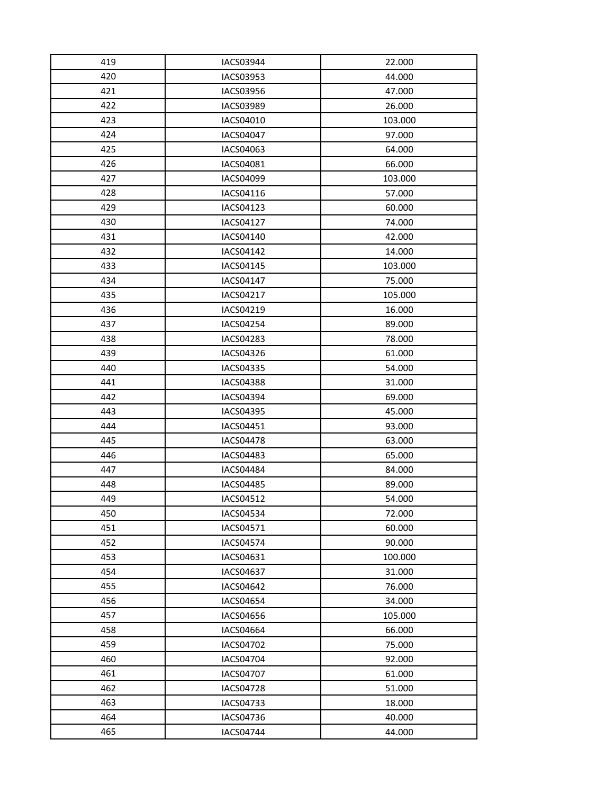| 419        | <b>IACS03944</b> | 22.000           |
|------------|------------------|------------------|
| 420        | <b>IACS03953</b> | 44.000           |
| 421        | IACS03956        | 47.000           |
| 422        | IACS03989        | 26.000           |
| 423        | IACS04010        | 103.000          |
| 424        | <b>IACS04047</b> | 97.000           |
| 425        | IACS04063        | 64.000           |
| 426        | IACS04081        | 66.000           |
| 427        | IACS04099        | 103.000          |
| 428        | IACS04116        | 57.000           |
| 429        | IACS04123        | 60.000           |
| 430        | <b>IACS04127</b> | 74.000           |
| 431        | IACS04140        | 42.000           |
| 432        | <b>IACS04142</b> | 14.000           |
| 433        | IACS04145        | 103.000          |
| 434        | IACS04147        | 75.000           |
| 435        | IACS04217        | 105.000          |
| 436        | IACS04219        | 16.000           |
| 437        | <b>IACS04254</b> | 89.000           |
| 438        | <b>IACS04283</b> | 78.000           |
| 439        | IACS04326        | 61.000           |
| 440        | <b>IACS04335</b> | 54.000           |
| 441        | <b>IACS04388</b> | 31.000           |
| 442        | <b>IACS04394</b> | 69.000           |
| 443        | <b>IACS04395</b> | 45.000           |
| 444        | IACS04451        | 93.000           |
| 445        | <b>IACS04478</b> | 63.000           |
| 446        | <b>IACS04483</b> | 65.000           |
| 447        | <b>IACS04484</b> | 84.000           |
| 448        | <b>IACS04485</b> | 89.000           |
| 449        | IACS04512        | 54.000           |
| 450        | <b>IACS04534</b> | 72.000           |
| 451        | IACS04571        | 60.000           |
| 452        | <b>IACS04574</b> | 90.000           |
| 453        | IACS04631        | 100.000          |
| 454        | <b>IACS04637</b> | 31.000           |
| 455        | <b>IACS04642</b> | 76.000           |
| 456<br>457 | <b>IACS04654</b> | 34.000           |
|            | IACS04656        | 105.000          |
| 458        | <b>IACS04664</b> | 66.000           |
| 459        | IACS04702        | 75.000           |
| 460<br>461 | IACS04704        | 92.000           |
| 462        | IACS04707        | 61.000           |
|            | <b>IACS04728</b> | 51.000<br>18.000 |
| 463<br>464 | IACS04733        |                  |
|            | IACS04736        | 40.000           |
| 465        | IACS04744        | 44.000           |